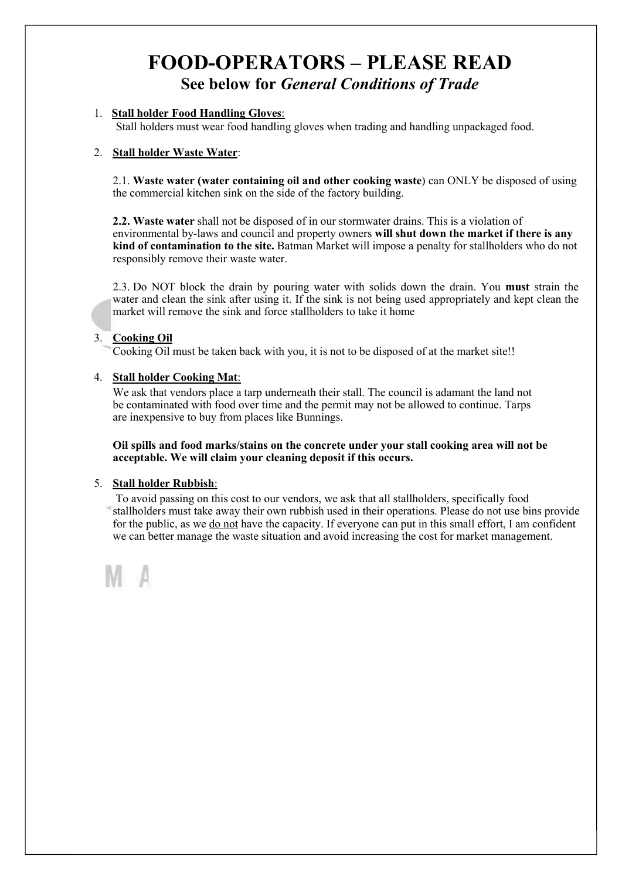## FOOD-OPERATORS – PLEASE READ See below for General Conditions of Trade

#### 1. Stall holder Food Handling Gloves:

Stall holders must wear food handling gloves when trading and handling unpackaged food.

#### 2. Stall holder Waste Water:

2.1. Waste water (water containing oil and other cooking waste) can ONLY be disposed of using the commercial kitchen sink on the side of the factory building.

2.2. Waste water shall not be disposed of in our stormwater drains. This is a violation of environmental by-laws and council and property owners will shut down the market if there is any kind of contamination to the site. Batman Market will impose a penalty for stallholders who do not responsibly remove their waste water.

2.3. Do NOT block the drain by pouring water with solids down the drain. You must strain the water and clean the sink after using it. If the sink is not being used appropriately and kept clean the market will remove the sink and force stallholders to take it home

#### 3. Cooking Oil

Cooking Oil must be taken back with you, it is not to be disposed of at the market site!!

#### 4. Stall holder Cooking Mat:

We ask that vendors place a tarp underneath their stall. The council is adamant the land not be contaminated with food over time and the permit may not be allowed to continue. Tarps are inexpensive to buy from places like Bunnings.

#### Oil spills and food marks/stains on the concrete under your stall cooking area will not be acceptable. We will claim your cleaning deposit if this occurs.

#### 5. Stall holder Rubbish:

To avoid passing on this cost to our vendors, we ask that all stallholders, specifically food stallholders must take away their own rubbish used in their operations. Please do not use bins provide for the public, as we do not have the capacity. If everyone can put in this small effort, I am confident we can better manage the waste situation and avoid increasing the cost for market management.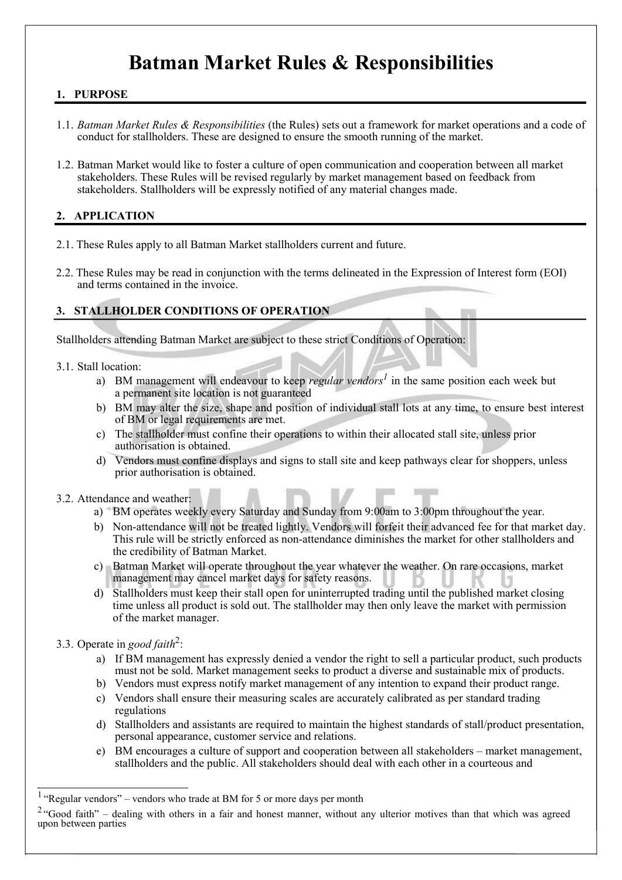# Batman Market Rules & Responsibilities

### 1. PURPOSE

- 1.1. Batman Market Rules & Responsibilities (the Rules) sets out a framework for market operations and a code of conduct for stallholders. These are designed to ensure the smooth running of the market.
- 1.2. Batman Market would like to foster a culture of open communication and cooperation between all market stakeholders. These Rules will be revised regularly by market management based on feedback from stakeholders. Stallholders will be expressly notified of any material changes made.

### 2. APPLICATION

- 2.1. These Rules apply to all Batman Market stallholders current and future.
- 2.2. These Rules may be read in conjunction with the terms delineated in the Expression of Interest form (EOI) and terms contained in the invoice.

## 3. STALLHOLDER CONDITIONS OF OPERATION

Stallholders attending Batman Market are subject to these strict Conditions of Operation:

#### 3.1. Stall location:

- a) BM management will endeavour to keep *regular vendors<sup>1</sup>* in the same position each week but a permanent site location is not guaranteed
- b) BM may alter the size, shape and position of individual stall lots at any time, to ensure best interest of BM or legal requirements are met.
- c) The stallholder must confine their operations to within their allocated stall site, unless prior authorisation is obtained.
- d) Vendors must confine displays and signs to stall site and keep pathways clear for shoppers, unless prior authorisation is obtained.

#### 3.2. Attendance and weather:

- a) BM operates weekly every Saturday and Sunday from 9:00am to 3:00pm throughout the year.
- b) Non-attendance will not be treated lightly. Vendors will forfeit their advanced fee for that market day. This rule will be strictly enforced as non-attendance diminishes the market for other stallholders and the credibility of Batman Market.
- c) Batman Market will operate throughout the year whatever the weather. On rare occasions, market management may cancel market days for safety reasons.
- d) Stallholders must keep their stall open for uninterrupted trading until the published market closing time unless all product is sold out. The stallholder may then only leave the market with permission of the market manager.

## 3.3. Operate in good faith<sup>2</sup>:

- a) If BM management has expressly denied a vendor the right to sell a particular product, such products must not be sold. Market management seeks to product a diverse and sustainable mix of products.
- b) Vendors must express notify market management of any intention to expand their product range.
- c) Vendors shall ensure their measuring scales are accurately calibrated as per standard trading regulations
- d) Stallholders and assistants are required to maintain the highest standards of stall/product presentation, personal appearance, customer service and relations.
- e) BM encourages a culture of support and cooperation between all stakeholders market management, stallholders and the public. All stakeholders should deal with each other in a courteous and

<sup>&</sup>lt;sup>1</sup> "Regular vendors" – vendors who trade at BM for 5 or more days per month

<sup>&</sup>lt;sup>2</sup> "Good faith" – dealing with others in a fair and honest manner, without any ulterior motives than that which was agreed upon between parties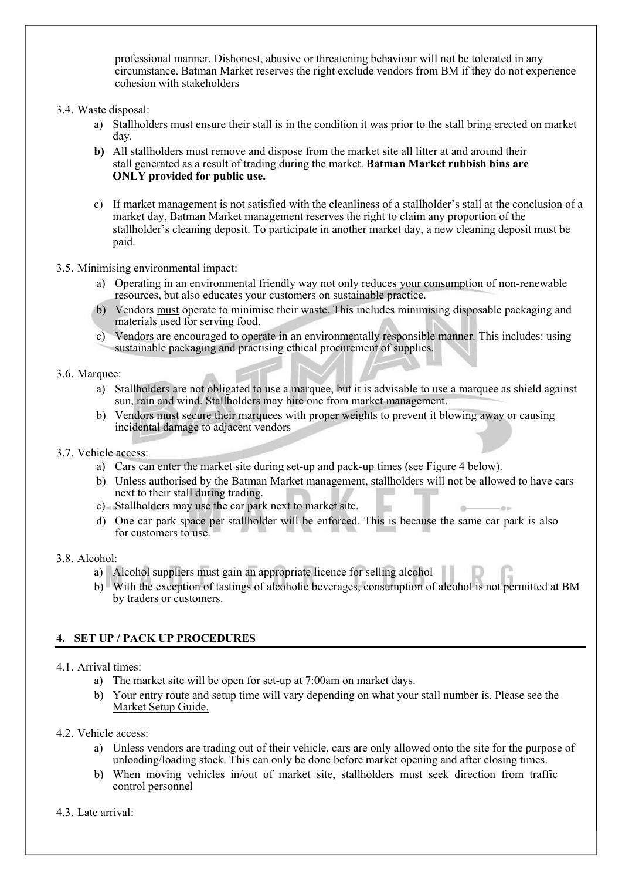professional manner. Dishonest, abusive or threatening behaviour will not be tolerated in any circumstance. Batman Market reserves the right exclude vendors from BM if they do not experience cohesion with stakeholders

#### 3.4. Waste disposal:

- a) Stallholders must ensure their stall is in the condition it was prior to the stall bring erected on market day.
- b) All stallholders must remove and dispose from the market site all litter at and around their stall generated as a result of trading during the market. Batman Market rubbish bins are ONLY provided for public use.
- c) If market management is not satisfied with the cleanliness of a stallholder's stall at the conclusion of a market day, Batman Market management reserves the right to claim any proportion of the stallholder's cleaning deposit. To participate in another market day, a new cleaning deposit must be paid.

#### 3.5. Minimising environmental impact:

- a) Operating in an environmental friendly way not only reduces your consumption of non-renewable resources, but also educates your customers on sustainable practice.
- b) Vendors must operate to minimise their waste. This includes minimising disposable packaging and materials used for serving food.
- c) Vendors are encouraged to operate in an environmentally responsible manner. This includes: using sustainable packaging and practising ethical procurement of supplies.

#### 3.6. Marquee:

- a) Stallholders are not obligated to use a marquee, but it is advisable to use a marquee as shield against sun, rain and wind. Stallholders may hire one from market management.
- b) Vendors must secure their marquees with proper weights to prevent it blowing away or causing incidental damage to adjacent vendors

#### 3.7. Vehicle access:

- a) Cars can enter the market site during set-up and pack-up times (see Figure 4 below).
- b) Unless authorised by the Batman Market management, stallholders will not be allowed to have cars next to their stall during trading.
- c) Stallholders may use the car park next to market site.
- d) One car park space per stallholder will be enforced. This is because the same car park is also for customers to use.

#### 3.8. Alcohol:

- a) Alcohol suppliers must gain an appropriate licence for selling alcohol
- b) With the exception of tastings of alcoholic beverages, consumption of alcohol is not permitted at BM by traders or customers.

## 4. SET UP / PACK UP PROCEDURES

#### 4.1. Arrival times:

- a) The market site will be open for set-up at 7:00am on market days.
- b) Your entry route and setup time will vary depending on what your stall number is. Please see the Market Setup Guide.
- 4.2. Vehicle access:
	- a) Unless vendors are trading out of their vehicle, cars are only allowed onto the site for the purpose of unloading/loading stock. This can only be done before market opening and after closing times.
	- b) When moving vehicles in/out of market site, stallholders must seek direction from traffic control personnel
- 4.3. Late arrival: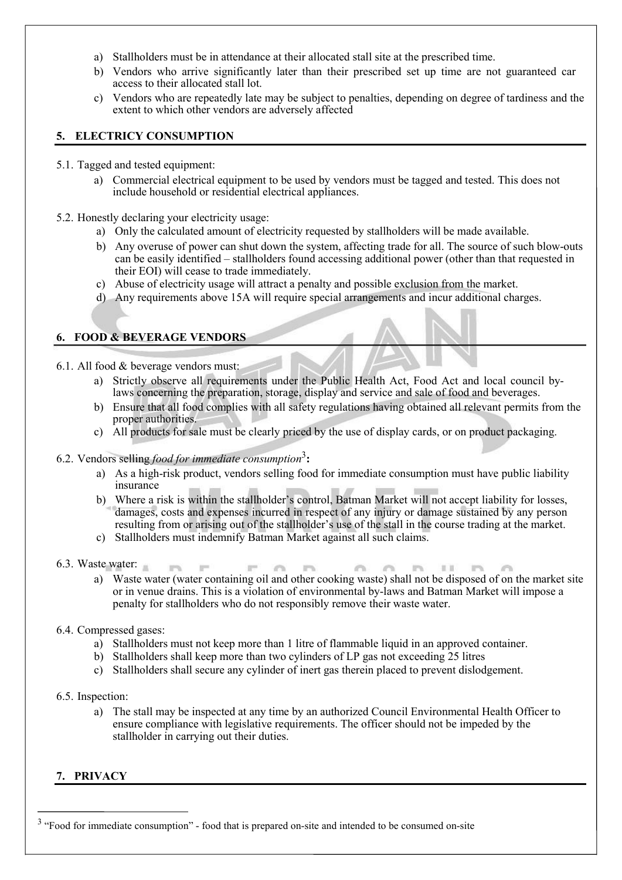- a) Stallholders must be in attendance at their allocated stall site at the prescribed time.
- b) Vendors who arrive significantly later than their prescribed set up time are not guaranteed car access to their allocated stall lot.
- c) Vendors who are repeatedly late may be subject to penalties, depending on degree of tardiness and the extent to which other vendors are adversely affected

## 5. ELECTRICY CONSUMPTION

- 5.1. Tagged and tested equipment:
	- a) Commercial electrical equipment to be used by vendors must be tagged and tested. This does not include household or residential electrical appliances.
- 5.2. Honestly declaring your electricity usage:
	- a) Only the calculated amount of electricity requested by stallholders will be made available.
	- b) Any overuse of power can shut down the system, affecting trade for all. The source of such blow-outs can be easily identified – stallholders found accessing additional power (other than that requested in their EOI) will cease to trade immediately.
	- c) Abuse of electricity usage will attract a penalty and possible exclusion from the market.
	- d) Any requirements above 15A will require special arrangements and incur additional charges.

## 6. FOOD & BEVERAGE VENDORS

- 6.1. All food & beverage vendors must:
	- a) Strictly observe all requirements under the Public Health Act, Food Act and local council bylaws concerning the preparation, storage, display and service and sale of food and beverages.
	- b) Ensure that all food complies with all safety regulations having obtained all relevant permits from the proper authorities.
	- c) All products for sale must be clearly priced by the use of display cards, or on product packaging.
- 6.2. Vendors selling food for immediate consumption<sup>3</sup>:

 $\mathbb{R}^{n_{\text{in}}}$ 

**TOWER** 

- a) As a high-risk product, vendors selling food for immediate consumption must have public liability insurance
- b) Where a risk is within the stallholder's control, Batman Market will not accept liability for losses, damages, costs and expenses incurred in respect of any injury or damage sustained by any person resulting from or arising out of the stallholder's use of the stall in the course trading at the market.
- c) Stallholders must indemnify Batman Market against all such claims.

m

- 6.3. Waste water:
	- m. 三百万 a) Waste water (water containing oil and other cooking waste) shall not be disposed of on the market site or in venue drains. This is a violation of environmental by-laws and Batman Market will impose a penalty for stallholders who do not responsibly remove their waste water.

**IPW** 

area.

- 6.4. Compressed gases:
	- a) Stallholders must not keep more than 1 litre of flammable liquid in an approved container.

**IPAC** 

- b) Stallholders shall keep more than two cylinders of LP gas not exceeding 25 litres
- c) Stallholders shall secure any cylinder of inert gas therein placed to prevent dislodgement.
- 6.5. Inspection:
	- a) The stall may be inspected at any time by an authorized Council Environmental Health Officer to ensure compliance with legislative requirements. The officer should not be impeded by the stallholder in carrying out their duties.

## 7. PRIVACY

<sup>&</sup>lt;sup>3</sup> "Food for immediate consumption" - food that is prepared on-site and intended to be consumed on-site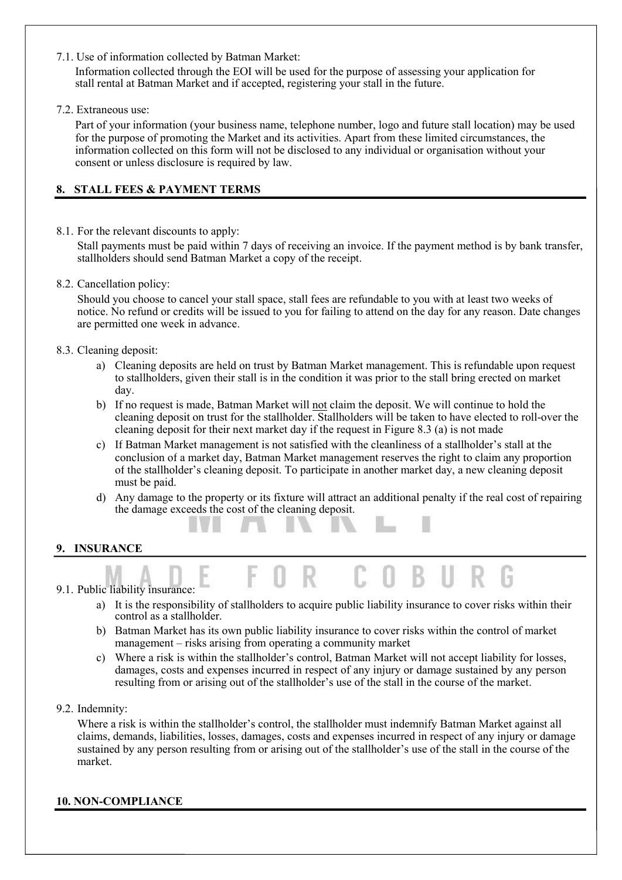7.1. Use of information collected by Batman Market:

Information collected through the EOI will be used for the purpose of assessing your application for stall rental at Batman Market and if accepted, registering your stall in the future.

7.2. Extraneous use:

Part of your information (your business name, telephone number, logo and future stall location) may be used for the purpose of promoting the Market and its activities. Apart from these limited circumstances, the information collected on this form will not be disclosed to any individual or organisation without your consent or unless disclosure is required by law.

## 8. STALL FEES & PAYMENT TERMS

8.1. For the relevant discounts to apply:

Stall payments must be paid within 7 days of receiving an invoice. If the payment method is by bank transfer, stallholders should send Batman Market a copy of the receipt.

8.2. Cancellation policy:

Should you choose to cancel your stall space, stall fees are refundable to you with at least two weeks of notice. No refund or credits will be issued to you for failing to attend on the day for any reason. Date changes are permitted one week in advance.

- 8.3. Cleaning deposit:
	- a) Cleaning deposits are held on trust by Batman Market management. This is refundable upon request to stallholders, given their stall is in the condition it was prior to the stall bring erected on market day.
	- b) If no request is made, Batman Market will not claim the deposit. We will continue to hold the cleaning deposit on trust for the stallholder. Stallholders will be taken to have elected to roll-over the cleaning deposit for their next market day if the request in Figure 8.3 (a) is not made
	- c) If Batman Market management is not satisfied with the cleanliness of a stallholder's stall at the conclusion of a market day, Batman Market management reserves the right to claim any proportion of the stallholder's cleaning deposit. To participate in another market day, a new cleaning deposit must be paid.
	- d) Any damage to the property or its fixture will attract an additional penalty if the real cost of repairing the damage exceeds the cost of the cleaning deposit.

## 9. INSURANCE

#### 9.1. Public liability insurance:

- a) It is the responsibility of stallholders to acquire public liability insurance to cover risks within their control as a stallholder.
- b) Batman Market has its own public liability insurance to cover risks within the control of market management – risks arising from operating a community market
- c) Where a risk is within the stallholder's control, Batman Market will not accept liability for losses, damages, costs and expenses incurred in respect of any injury or damage sustained by any person resulting from or arising out of the stallholder's use of the stall in the course of the market.
- 9.2. Indemnity:

Where a risk is within the stallholder's control, the stallholder must indemnify Batman Market against all claims, demands, liabilities, losses, damages, costs and expenses incurred in respect of any injury or damage sustained by any person resulting from or arising out of the stallholder's use of the stall in the course of the market.

## 10. NON-COMPLIANCE